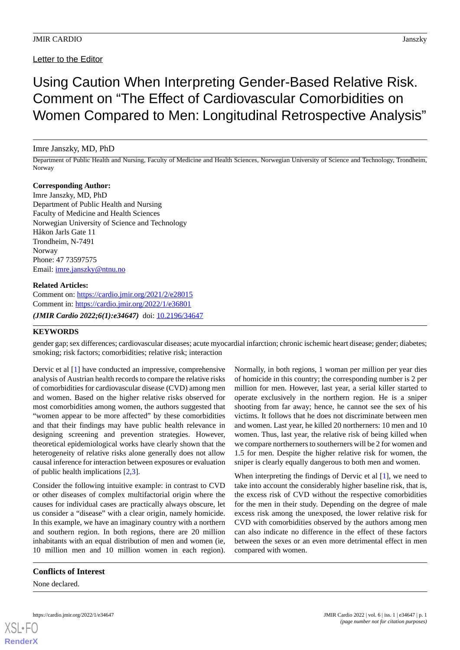## Letter to the Editor

Using Caution When Interpreting Gender-Based Relative Risk. Comment on "The Effect of Cardiovascular Comorbidities on Women Compared to Men: Longitudinal Retrospective Analysis"

### Imre Janszky, MD, PhD

Department of Public Health and Nursing, Faculty of Medicine and Health Sciences, Norwegian University of Science and Technology, Trondheim, Norway

### **Corresponding Author:**

Imre Janszky, MD, PhD Department of Public Health and Nursing Faculty of Medicine and Health Sciences Norwegian University of Science and Technology Håkon Jarls Gate 11 Trondheim, N-7491 Norway Phone: 47 73597575 Email: [imre.janszky@ntnu.no](mailto:imre.janszky@ntnu.no)

#### **Related Articles:**

Comment on: <https://cardio.jmir.org/2021/2/e28015> Comment in: <https://cardio.jmir.org/2022/1/e36801> *(JMIR Cardio 2022;6(1):e34647)* doi: [10.2196/34647](http://dx.doi.org/10.2196/34647)

### **KEYWORDS**

gender gap; sex differences; cardiovascular diseases; acute myocardial infarction; chronic ischemic heart disease; gender; diabetes; smoking; risk factors; comorbidities; relative risk; interaction

Dervic et al [\[1](#page-1-0)] have conducted an impressive, comprehensive analysis of Austrian health records to compare the relative risks of comorbidities for cardiovascular disease (CVD) among men and women. Based on the higher relative risks observed for most comorbidities among women, the authors suggested that "women appear to be more affected" by these comorbidities and that their findings may have public health relevance in designing screening and prevention strategies. However, theoretical epidemiological works have clearly shown that the heterogeneity of relative risks alone generally does not allow causal inference for interaction between exposures or evaluation of public health implications [\[2](#page-1-1),[3\]](#page-1-2).

Consider the following intuitive example: in contrast to CVD or other diseases of complex multifactorial origin where the causes for individual cases are practically always obscure, let us consider a "disease" with a clear origin, namely homicide. In this example, we have an imaginary country with a northern and southern region. In both regions, there are 20 million inhabitants with an equal distribution of men and women (ie, 10 million men and 10 million women in each region).

#### **Conflicts of Interest**

None declared.

[XSL](http://www.w3.org/Style/XSL)•FO **[RenderX](http://www.renderx.com/)**

Normally, in both regions, 1 woman per million per year dies of homicide in this country; the corresponding number is 2 per million for men. However, last year, a serial killer started to operate exclusively in the northern region. He is a sniper shooting from far away; hence, he cannot see the sex of his victims. It follows that he does not discriminate between men and women. Last year, he killed 20 northerners: 10 men and 10 women. Thus, last year, the relative risk of being killed when we compare northerners to southerners will be 2 for women and 1.5 for men. Despite the higher relative risk for women, the sniper is clearly equally dangerous to both men and women.

When interpreting the findings of Dervic et al [\[1](#page-1-0)], we need to take into account the considerably higher baseline risk, that is, the excess risk of CVD without the respective comorbidities for the men in their study. Depending on the degree of male excess risk among the unexposed, the lower relative risk for CVD with comorbidities observed by the authors among men can also indicate no difference in the effect of these factors between the sexes or an even more detrimental effect in men compared with women.